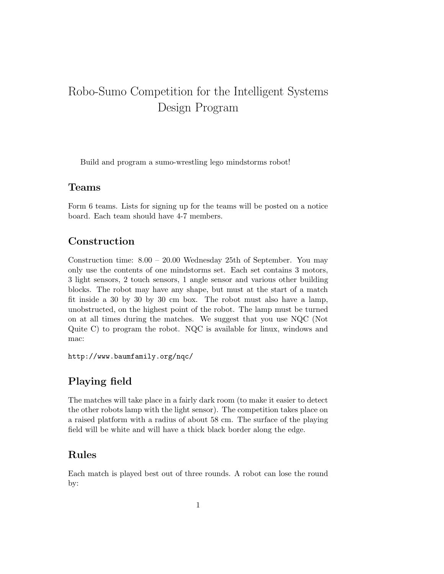# Robo-Sumo Competition for the Intelligent Systems Design Program

Build and program a sumo-wrestling lego mindstorms robot!

### Teams

Form 6 teams. Lists for signing up for the teams will be posted on a notice board. Each team should have 4-7 members.

### Construction

Construction time: 8.00 – 20.00 Wednesday 25th of September. You may only use the contents of one mindstorms set. Each set contains 3 motors, 3 light sensors, 2 touch sensors, 1 angle sensor and various other building blocks. The robot may have any shape, but must at the start of a match fit inside a 30 by 30 by 30 cm box. The robot must also have a lamp, unobstructed, on the highest point of the robot. The lamp must be turned on at all times during the matches. We suggest that you use NQC (Not Quite C) to program the robot. NQC is available for linux, windows and mac:

http://www.baumfamily.org/nqc/

# Playing field

The matches will take place in a fairly dark room (to make it easier to detect the other robots lamp with the light sensor). The competition takes place on a raised platform with a radius of about 58 cm. The surface of the playing field will be white and will have a thick black border along the edge.

## Rules

Each match is played best out of three rounds. A robot can lose the round by: